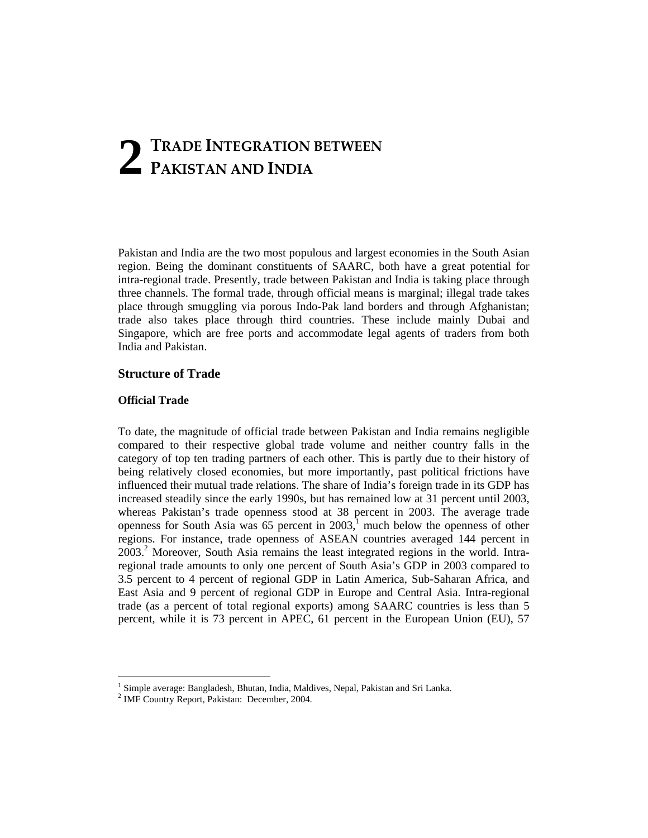# **TRADE INTEGRATION BETWEEN**  $\sum$  **PAKISTAN AND INDIA**

Pakistan and India are the two most populous and largest economies in the South Asian region. Being the dominant constituents of SAARC, both have a great potential for intra-regional trade. Presently, trade between Pakistan and India is taking place through three channels. The formal trade, through official means is marginal; illegal trade takes place through smuggling via porous Indo-Pak land borders and through Afghanistan; trade also takes place through third countries. These include mainly Dubai and Singapore, which are free ports and accommodate legal agents of traders from both India and Pakistan.

## **Structure of Trade**

## **Official Trade**

 $\overline{a}$ 

To date, the magnitude of official trade between Pakistan and India remains negligible compared to their respective global trade volume and neither country falls in the category of top ten trading partners of each other. This is partly due to their history of being relatively closed economies, but more importantly, past political frictions have influenced their mutual trade relations. The share of India's foreign trade in its GDP has increased steadily since the early 1990s, but has remained low at 31 percent until 2003, whereas Pakistan's trade openness stood at 38 percent in 2003. The average trade openness for South Asia was 65 percent in  $2003$ ,<sup>1</sup> much below the openness of other regions. For instance, trade openness of ASEAN countries averaged 144 percent in 2003.<sup>2</sup> Moreover, South Asia remains the least integrated regions in the world. Intraregional trade amounts to only one percent of South Asia's GDP in 2003 compared to 3.5 percent to 4 percent of regional GDP in Latin America, Sub-Saharan Africa, and East Asia and 9 percent of regional GDP in Europe and Central Asia. Intra-regional trade (as a percent of total regional exports) among SAARC countries is less than 5 percent, while it is 73 percent in APEC, 61 percent in the European Union (EU), 57

 $<sup>1</sup>$  Simple average: Bangladesh, Bhutan, India, Maldives, Nepal, Pakistan and Sri Lanka.</sup>

<sup>2</sup> IMF Country Report, Pakistan: December, 2004.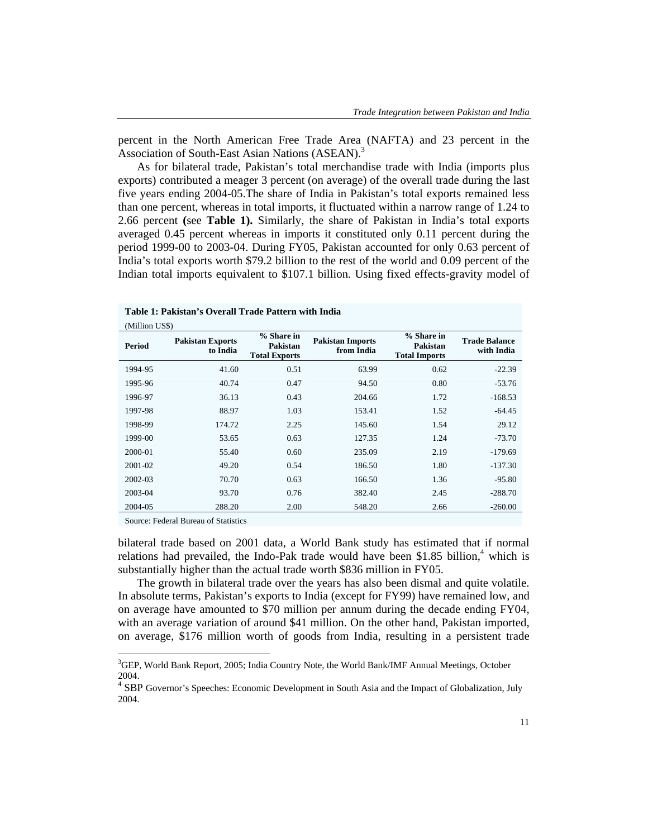percent in the North American Free Trade Area (NAFTA) and 23 percent in the Association of South-East Asian Nations (ASEAN).<sup>3</sup>

 As for bilateral trade, Pakistan's total merchandise trade with India (imports plus exports) contributed a meager 3 percent (on average) of the overall trade during the last five years ending 2004-05.The share of India in Pakistan's total exports remained less than one percent, whereas in total imports, it fluctuated within a narrow range of 1.24 to 2.66 percent **(**see **Table 1).** Similarly, the share of Pakistan in India's total exports averaged 0.45 percent whereas in imports it constituted only 0.11 percent during the period 1999-00 to 2003-04. During FY05, Pakistan accounted for only 0.63 percent of India's total exports worth \$79.2 billion to the rest of the world and 0.09 percent of the Indian total imports equivalent to \$107.1 billion. Using fixed effects-gravity model of

## **Table 1: Pakistan's Overall Trade Pattern with India**

| % Share in<br>% Share in<br><b>Trade Balance</b><br><b>Pakistan Exports</b><br><b>Pakistan Imports</b><br>Period<br>Pakistan<br>Pakistan<br>with India<br>to India<br>from India<br><b>Total Exports</b><br><b>Total Imports</b><br>41.60<br>0.51<br>63.99<br>0.62<br>$-22.39$<br>1994-95<br>0.80<br>40.74<br>0.47<br>1995-96<br>94.50<br>$-53.76$<br>36.13<br>0.43<br>1.72<br>1996-97<br>204.66<br>$-168.53$<br>88.97<br>1.03<br>153.41<br>1.52<br>1997-98<br>$-64.45$<br>2.25<br>145.60<br>1.54<br>29.12<br>1998-99<br>174.72<br>1.24<br>1999-00<br>0.63<br>127.35<br>$-73.70$<br>53.65<br>2000-01<br>55.40<br>235.09<br>2.19<br>0.60<br>$-179.69$<br>1.80<br>2001-02<br>49.20<br>0.54<br>186.50<br>$-137.30$<br>70.70<br>0.63<br>1.36<br>2002-03<br>166.50<br>$-95.80$<br>0.76<br>2003-04<br>93.70<br>382.40<br>2.45<br>$-288.70$<br>2004-05<br>288.20<br>2.00<br>$-260.00$<br>548.20<br>2.66 | (Million US\$) |  |  |  |
|--------------------------------------------------------------------------------------------------------------------------------------------------------------------------------------------------------------------------------------------------------------------------------------------------------------------------------------------------------------------------------------------------------------------------------------------------------------------------------------------------------------------------------------------------------------------------------------------------------------------------------------------------------------------------------------------------------------------------------------------------------------------------------------------------------------------------------------------------------------------------------------------------|----------------|--|--|--|
|                                                                                                                                                                                                                                                                                                                                                                                                                                                                                                                                                                                                                                                                                                                                                                                                                                                                                                  |                |  |  |  |
|                                                                                                                                                                                                                                                                                                                                                                                                                                                                                                                                                                                                                                                                                                                                                                                                                                                                                                  |                |  |  |  |
|                                                                                                                                                                                                                                                                                                                                                                                                                                                                                                                                                                                                                                                                                                                                                                                                                                                                                                  |                |  |  |  |
|                                                                                                                                                                                                                                                                                                                                                                                                                                                                                                                                                                                                                                                                                                                                                                                                                                                                                                  |                |  |  |  |
|                                                                                                                                                                                                                                                                                                                                                                                                                                                                                                                                                                                                                                                                                                                                                                                                                                                                                                  |                |  |  |  |
|                                                                                                                                                                                                                                                                                                                                                                                                                                                                                                                                                                                                                                                                                                                                                                                                                                                                                                  |                |  |  |  |
|                                                                                                                                                                                                                                                                                                                                                                                                                                                                                                                                                                                                                                                                                                                                                                                                                                                                                                  |                |  |  |  |
|                                                                                                                                                                                                                                                                                                                                                                                                                                                                                                                                                                                                                                                                                                                                                                                                                                                                                                  |                |  |  |  |
|                                                                                                                                                                                                                                                                                                                                                                                                                                                                                                                                                                                                                                                                                                                                                                                                                                                                                                  |                |  |  |  |
|                                                                                                                                                                                                                                                                                                                                                                                                                                                                                                                                                                                                                                                                                                                                                                                                                                                                                                  |                |  |  |  |
|                                                                                                                                                                                                                                                                                                                                                                                                                                                                                                                                                                                                                                                                                                                                                                                                                                                                                                  |                |  |  |  |
|                                                                                                                                                                                                                                                                                                                                                                                                                                                                                                                                                                                                                                                                                                                                                                                                                                                                                                  |                |  |  |  |

Source: Federal Bureau of Statistics

 $\overline{a}$ 

bilateral trade based on 2001 data, a World Bank study has estimated that if normal relations had prevailed, the Indo-Pak trade would have been \$1.85 billion,<sup>4</sup> which is substantially higher than the actual trade worth \$836 million in FY05.

 The growth in bilateral trade over the years has also been dismal and quite volatile. In absolute terms, Pakistan's exports to India (except for FY99) have remained low, and on average have amounted to \$70 million per annum during the decade ending FY04, with an average variation of around \$41 million. On the other hand, Pakistan imported, on average, \$176 million worth of goods from India, resulting in a persistent trade

<sup>&</sup>lt;sup>3</sup>GEP, World Bank Report, 2005; India Country Note, the World Bank/IMF Annual Meetings, October 2004.

<sup>&</sup>lt;sup>4</sup> SBP Governor's Speeches: Economic Development in South Asia and the Impact of Globalization, July 2004.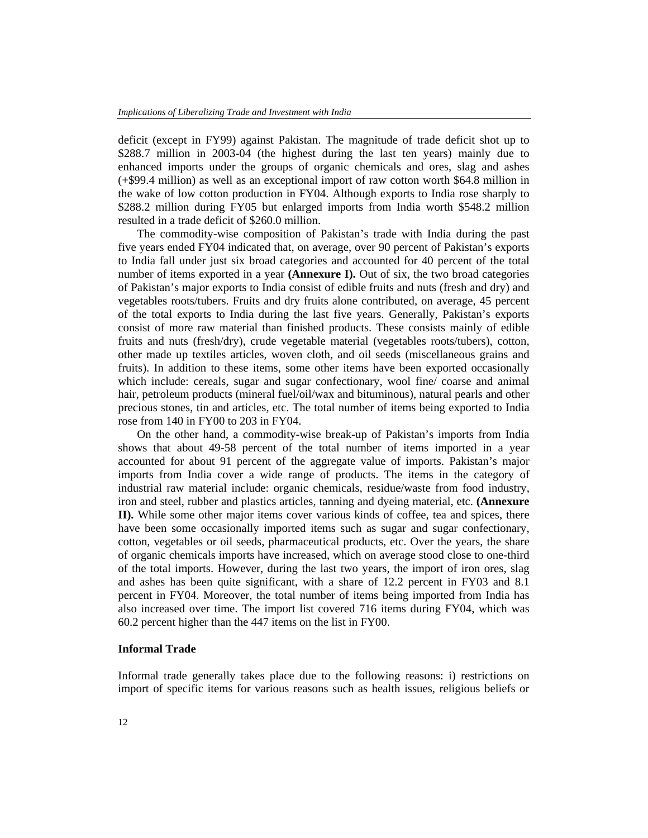deficit (except in FY99) against Pakistan. The magnitude of trade deficit shot up to \$288.7 million in 2003-04 (the highest during the last ten years) mainly due to enhanced imports under the groups of organic chemicals and ores, slag and ashes (+\$99.4 million) as well as an exceptional import of raw cotton worth \$64.8 million in the wake of low cotton production in FY04. Although exports to India rose sharply to \$288.2 million during FY05 but enlarged imports from India worth \$548.2 million resulted in a trade deficit of \$260.0 million.

 The commodity-wise composition of Pakistan's trade with India during the past five years ended FY04 indicated that, on average, over 90 percent of Pakistan's exports to India fall under just six broad categories and accounted for 40 percent of the total number of items exported in a year **(Annexure I).** Out of six, the two broad categories of Pakistan's major exports to India consist of edible fruits and nuts (fresh and dry) and vegetables roots/tubers. Fruits and dry fruits alone contributed, on average, 45 percent of the total exports to India during the last five years. Generally, Pakistan's exports consist of more raw material than finished products. These consists mainly of edible fruits and nuts (fresh/dry), crude vegetable material (vegetables roots/tubers), cotton, other made up textiles articles, woven cloth, and oil seeds (miscellaneous grains and fruits). In addition to these items, some other items have been exported occasionally which include: cereals, sugar and sugar confectionary, wool fine/ coarse and animal hair, petroleum products (mineral fuel/oil/wax and bituminous), natural pearls and other precious stones, tin and articles, etc. The total number of items being exported to India rose from 140 in FY00 to 203 in FY04.

 On the other hand, a commodity-wise break-up of Pakistan's imports from India shows that about 49-58 percent of the total number of items imported in a year accounted for about 91 percent of the aggregate value of imports. Pakistan's major imports from India cover a wide range of products. The items in the category of industrial raw material include: organic chemicals, residue/waste from food industry, iron and steel, rubber and plastics articles, tanning and dyeing material, etc. **(Annexure II).** While some other major items cover various kinds of coffee, tea and spices, there have been some occasionally imported items such as sugar and sugar confectionary, cotton, vegetables or oil seeds, pharmaceutical products, etc. Over the years, the share of organic chemicals imports have increased, which on average stood close to one-third of the total imports. However, during the last two years, the import of iron ores, slag and ashes has been quite significant, with a share of 12.2 percent in FY03 and 8.1 percent in FY04. Moreover, the total number of items being imported from India has also increased over time. The import list covered 716 items during FY04, which was 60.2 percent higher than the 447 items on the list in FY00.

## **Informal Trade**

Informal trade generally takes place due to the following reasons: i) restrictions on import of specific items for various reasons such as health issues, religious beliefs or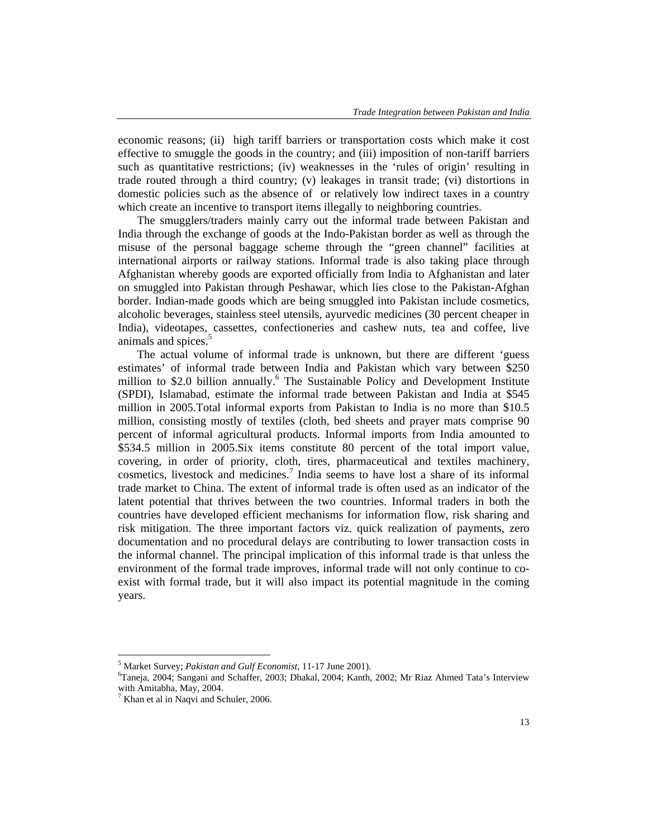economic reasons; (ii) high tariff barriers or transportation costs which make it cost effective to smuggle the goods in the country; and (iii) imposition of non-tariff barriers such as quantitative restrictions; (iv) weaknesses in the 'rules of origin' resulting in trade routed through a third country; (v) leakages in transit trade; (vi) distortions in domestic policies such as the absence of or relatively low indirect taxes in a country which create an incentive to transport items illegally to neighboring countries.

 The smugglers/traders mainly carry out the informal trade between Pakistan and India through the exchange of goods at the Indo-Pakistan border as well as through the misuse of the personal baggage scheme through the "green channel" facilities at international airports or railway stations. Informal trade is also taking place through Afghanistan whereby goods are exported officially from India to Afghanistan and later on smuggled into Pakistan through Peshawar, which lies close to the Pakistan-Afghan border. Indian-made goods which are being smuggled into Pakistan include cosmetics, alcoholic beverages, stainless steel utensils, ayurvedic medicines (30 percent cheaper in India), videotapes, cassettes, confectioneries and cashew nuts, tea and coffee, live animals and spices.<sup>5</sup>

 The actual volume of informal trade is unknown, but there are different 'guess estimates' of informal trade between India and Pakistan which vary between \$250 million to \$2.0 billion annually.<sup>6</sup> The Sustainable Policy and Development Institute (SPDI), Islamabad, estimate the informal trade between Pakistan and India at \$545 million in 2005.Total informal exports from Pakistan to India is no more than \$10.5 million, consisting mostly of textiles (cloth, bed sheets and prayer mats comprise 90 percent of informal agricultural products. Informal imports from India amounted to \$534.5 million in 2005.Six items constitute 80 percent of the total import value, covering, in order of priority, cloth, tires, pharmaceutical and textiles machinery, cosmetics, livestock and medicines.<sup>7</sup> India seems to have lost a share of its informal trade market to China. The extent of informal trade is often used as an indicator of the latent potential that thrives between the two countries. Informal traders in both the countries have developed efficient mechanisms for information flow, risk sharing and risk mitigation. The three important factors viz. quick realization of payments, zero documentation and no procedural delays are contributing to lower transaction costs in the informal channel. The principal implication of this informal trade is that unless the environment of the formal trade improves, informal trade will not only continue to coexist with formal trade, but it will also impact its potential magnitude in the coming years.

<sup>5</sup> Market Survey; *Pakistan and Gulf Economist*, 11-17 June 2001).

Taneja, 2004; Sangani and Schaffer, 2003; Dhakal, 2004; Kanth, 2002; Mr Riaz Ahmed Tata's Interview with Amitabha, May, 2004.

<sup>&</sup>lt;sup>7</sup> Khan et al in Naqvi and Schuler, 2006.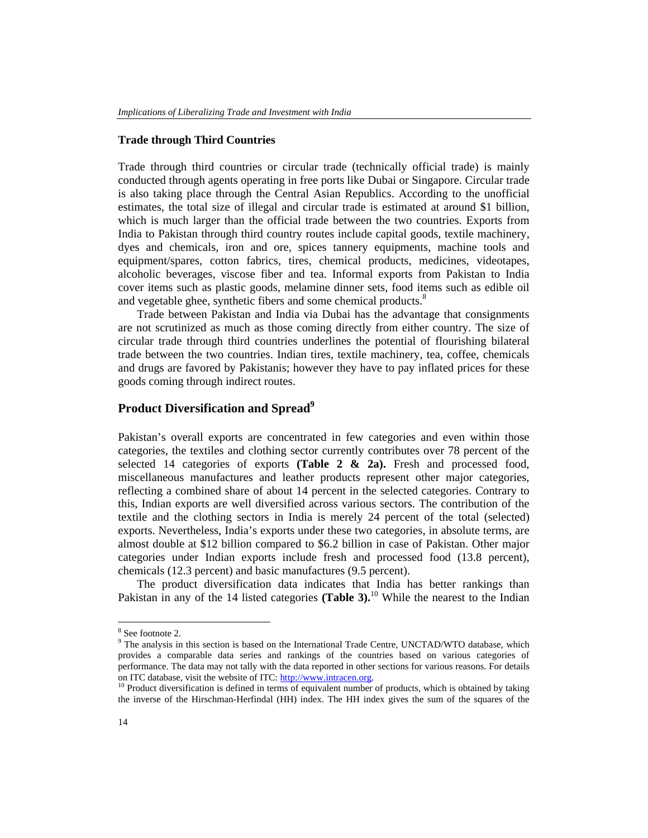### **Trade through Third Countries**

Trade through third countries or circular trade (technically official trade) is mainly conducted through agents operating in free ports like Dubai or Singapore. Circular trade is also taking place through the Central Asian Republics. According to the unofficial estimates, the total size of illegal and circular trade is estimated at around \$1 billion, which is much larger than the official trade between the two countries. Exports from India to Pakistan through third country routes include capital goods, textile machinery, dyes and chemicals, iron and ore, spices tannery equipments, machine tools and equipment/spares, cotton fabrics, tires, chemical products, medicines, videotapes, alcoholic beverages, viscose fiber and tea. Informal exports from Pakistan to India cover items such as plastic goods, melamine dinner sets, food items such as edible oil and vegetable ghee, synthetic fibers and some chemical products.<sup>8</sup>

 Trade between Pakistan and India via Dubai has the advantage that consignments are not scrutinized as much as those coming directly from either country. The size of circular trade through third countries underlines the potential of flourishing bilateral trade between the two countries. Indian tires, textile machinery, tea, coffee, chemicals and drugs are favored by Pakistanis; however they have to pay inflated prices for these goods coming through indirect routes.

## **Product Diversification and Spread9**

Pakistan's overall exports are concentrated in few categories and even within those categories, the textiles and clothing sector currently contributes over 78 percent of the selected 14 categories of exports **(Table 2 & 2a).** Fresh and processed food, miscellaneous manufactures and leather products represent other major categories, reflecting a combined share of about 14 percent in the selected categories. Contrary to this, Indian exports are well diversified across various sectors. The contribution of the textile and the clothing sectors in India is merely 24 percent of the total (selected) exports. Nevertheless, India's exports under these two categories, in absolute terms, are almost double at \$12 billion compared to \$6.2 billion in case of Pakistan. Other major categories under Indian exports include fresh and processed food (13.8 percent), chemicals (12.3 percent) and basic manufactures (9.5 percent).

 The product diversification data indicates that India has better rankings than Pakistan in any of the 14 listed categories **(Table 3).**<sup>10</sup> While the nearest to the Indian

<sup>8</sup> See footnote 2.

<sup>&</sup>lt;sup>9</sup> The analysis in this section is based on the International Trade Centre, UNCTAD/WTO database, which provides a comparable data series and rankings of the countries based on various categories of performance. The data may not tally with the data reported in other sections for various reasons. For details on ITC database, visit the website of ITC: http://www.intracen.org.<br><sup>10</sup> Product diversification is defined in terms of equivalent number of products, which is obtained by taking

the inverse of the Hirschman-Herfindal (HH) index. The HH index gives the sum of the squares of the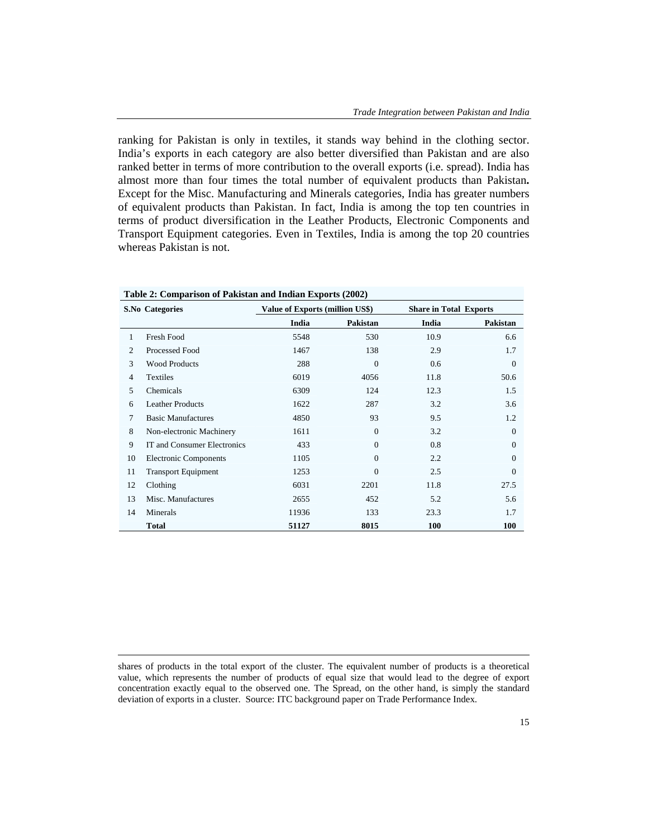ranking for Pakistan is only in textiles, it stands way behind in the clothing sector. India's exports in each category are also better diversified than Pakistan and are also ranked better in terms of more contribution to the overall exports (i.e. spread). India has almost more than four times the total number of equivalent products than Pakistan**.** Except for the Misc. Manufacturing and Minerals categories, India has greater numbers of equivalent products than Pakistan. In fact, India is among the top ten countries in terms of product diversification in the Leather Products, Electronic Components and Transport Equipment categories. Even in Textiles, India is among the top 20 countries whereas Pakistan is not.

| Table 2: Comparison of Pakistan and Indian Exports (2002) |                              |                                        |                 |                               |                 |  |  |  |  |
|-----------------------------------------------------------|------------------------------|----------------------------------------|-----------------|-------------------------------|-----------------|--|--|--|--|
|                                                           | <b>S.No Categories</b>       | <b>Value of Exports (million US\$)</b> |                 | <b>Share in Total Exports</b> |                 |  |  |  |  |
|                                                           |                              | India                                  | <b>Pakistan</b> | India                         | <b>Pakistan</b> |  |  |  |  |
| 1                                                         | <b>Fresh Food</b>            | 5548                                   | 530             | 10.9                          | 6.6             |  |  |  |  |
| $\overline{2}$                                            | Processed Food               | 1467                                   | 138             | 2.9                           | 1.7             |  |  |  |  |
| 3                                                         | <b>Wood Products</b>         | 288                                    | $\Omega$        | 0.6                           | $\Omega$        |  |  |  |  |
| $\overline{4}$                                            | Textiles                     | 6019                                   | 4056            | 11.8                          | 50.6            |  |  |  |  |
| 5                                                         | Chemicals                    | 6309                                   | 124             | 12.3                          | 1.5             |  |  |  |  |
| 6                                                         | <b>Leather Products</b>      | 1622                                   | 287             | 3.2                           | 3.6             |  |  |  |  |
| 7                                                         | <b>Basic Manufactures</b>    | 4850                                   | 93              | 9.5                           | 1.2             |  |  |  |  |
| 8                                                         | Non-electronic Machinery     | 1611                                   | $\theta$        | 3.2                           | $\mathbf{0}$    |  |  |  |  |
| 9                                                         | IT and Consumer Electronics  | 433                                    | $\Omega$        | 0.8                           | $\Omega$        |  |  |  |  |
| 10                                                        | <b>Electronic Components</b> | 1105                                   | $\Omega$        | 2.2                           | $\Omega$        |  |  |  |  |
| 11                                                        | <b>Transport Equipment</b>   | 1253                                   | $\Omega$        | 2.5                           | $\Omega$        |  |  |  |  |
| 12                                                        | Clothing                     | 6031                                   | 2201            | 11.8                          | 27.5            |  |  |  |  |
| 13                                                        | Misc. Manufactures           | 2655                                   | 452             | 5.2                           | 5.6             |  |  |  |  |
| 14                                                        | Minerals                     | 11936                                  | 133             | 23.3                          | 1.7             |  |  |  |  |
|                                                           | <b>Total</b>                 | 51127                                  | 8015            | 100                           | 100             |  |  |  |  |

 shares of products in the total export of the cluster. The equivalent number of products is a theoretical value, which represents the number of products of equal size that would lead to the degree of export concentration exactly equal to the observed one. The Spread, on the other hand, is simply the standard deviation of exports in a cluster. Source: ITC background paper on Trade Performance Index.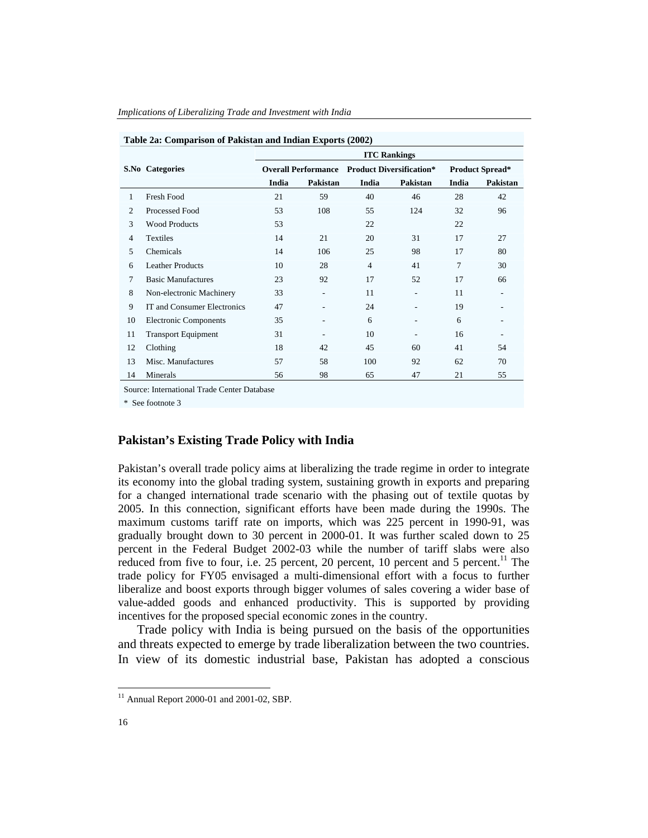| Table 2a: Comparison of Pakistan and Indian Exports (2002) |                              |       |                            |                     |                                 |                        |                          |  |  |  |
|------------------------------------------------------------|------------------------------|-------|----------------------------|---------------------|---------------------------------|------------------------|--------------------------|--|--|--|
|                                                            |                              |       |                            | <b>ITC Rankings</b> |                                 |                        |                          |  |  |  |
|                                                            | S.No Categories              |       | <b>Overall Performance</b> |                     | <b>Product Diversification*</b> | <b>Product Spread*</b> |                          |  |  |  |
|                                                            |                              | India | Pakistan                   | India               | Pakistan                        | India                  | Pakistan                 |  |  |  |
| $\mathbf{1}$                                               | <b>Fresh Food</b>            | 21    | 59                         | 40                  | 46                              | 28                     | 42                       |  |  |  |
| $\overline{2}$                                             | Processed Food               | 53    | 108                        | 55                  | 124                             | 32                     | 96                       |  |  |  |
| 3                                                          | <b>Wood Products</b>         | 53    |                            | 22                  |                                 | 22                     |                          |  |  |  |
| $\overline{4}$                                             | <b>Textiles</b>              | 14    | 21                         | 20                  | 31                              | 17                     | 27                       |  |  |  |
| 5                                                          | Chemicals                    | 14    | 106                        | 25                  | 98                              | 17                     | 80                       |  |  |  |
| 6                                                          | Leather Products             | 10    | 28                         | $\overline{4}$      | 41                              | 7                      | 30                       |  |  |  |
| 7                                                          | <b>Basic Manufactures</b>    | 23    | 92                         | 17                  | 52                              | 17                     | 66                       |  |  |  |
| 8                                                          | Non-electronic Machinery     | 33    |                            | 11                  | $\overline{\phantom{a}}$        | 11                     | $\overline{\phantom{a}}$ |  |  |  |
| 9                                                          | IT and Consumer Electronics  | 47    |                            | 24                  | ٠                               | 19                     | ٠                        |  |  |  |
| 10                                                         | <b>Electronic Components</b> | 35    |                            | 6                   | $\overline{\phantom{a}}$        | 6                      | $\overline{\phantom{a}}$ |  |  |  |
| 11                                                         | <b>Transport Equipment</b>   | 31    | $\overline{\phantom{a}}$   | 10                  | $\overline{\phantom{a}}$        | 16                     | $\overline{\phantom{a}}$ |  |  |  |
| 12                                                         | Clothing                     | 18    | 42                         | 45                  | 60                              | 41                     | 54                       |  |  |  |
| 13                                                         | Misc. Manufactures           | 57    | 58                         | 100                 | 92                              | 62                     | 70                       |  |  |  |
| 14                                                         | Minerals                     | 56    | 98                         | 65                  | 47                              | 21                     | 55                       |  |  |  |

#### *Implications of Liberalizing Trade and Investment with India*

Source: International Trade Center Database

\* See footnote 3

## **Pakistan's Existing Trade Policy with India**

Pakistan's overall trade policy aims at liberalizing the trade regime in order to integrate its economy into the global trading system, sustaining growth in exports and preparing for a changed international trade scenario with the phasing out of textile quotas by 2005. In this connection, significant efforts have been made during the 1990s. The maximum customs tariff rate on imports, which was 225 percent in 1990-91, was gradually brought down to 30 percent in 2000-01. It was further scaled down to 25 percent in the Federal Budget 2002-03 while the number of tariff slabs were also reduced from five to four, i.e. 25 percent, 20 percent, 10 percent and 5 percent.<sup>11</sup> The trade policy for FY05 envisaged a multi-dimensional effort with a focus to further liberalize and boost exports through bigger volumes of sales covering a wider base of value-added goods and enhanced productivity. This is supported by providing incentives for the proposed special economic zones in the country.

Trade policy with India is being pursued on the basis of the opportunities and threats expected to emerge by trade liberalization between the two countries. In view of its domestic industrial base, Pakistan has adopted a conscious

 $11$  Annual Report 2000-01 and 2001-02, SBP.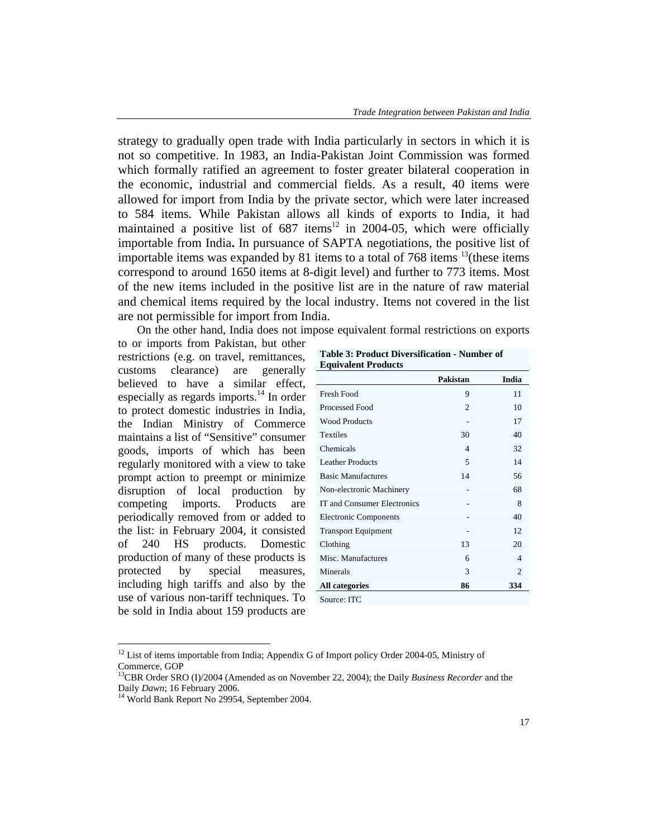strategy to gradually open trade with India particularly in sectors in which it is not so competitive. In 1983, an India-Pakistan Joint Commission was formed which formally ratified an agreement to foster greater bilateral cooperation in the economic, industrial and commercial fields. As a result, 40 items were allowed for import from India by the private sector, which were later increased to 584 items. While Pakistan allows all kinds of exports to India, it had maintained a positive list of  $687$  items<sup>12</sup> in 2004-05, which were officially importable from India**.** In pursuance of SAPTA negotiations, the positive list of importable items was expanded by 81 items to a total of  $768$  items <sup>13</sup>(these items correspond to around 1650 items at 8-digit level) and further to 773 items. Most of the new items included in the positive list are in the nature of raw material and chemical items required by the local industry. Items not covered in the list are not permissible for import from India.

On the other hand, India does not impose equivalent formal restrictions on exports

to or imports from Pakistan, but other restrictions (e.g. on travel, remittances, customs clearance) are generally believed to have a similar effect, especially as regards imports. $^{14}$  In order to protect domestic industries in India, the Indian Ministry of Commerce maintains a list of "Sensitive" consumer goods, imports of which has been regularly monitored with a view to take prompt action to preempt or minimize disruption of local production by competing imports. Products are periodically removed from or added to the list: in February 2004, it consisted of 240 HS products. Domestic production of many of these products is protected by special measures, including high tariffs and also by the use of various non-tariff techniques. To be sold in India about 159 products are

| <b>Table 3: Product Diversification - Number of</b> |  |
|-----------------------------------------------------|--|
| <b>Equivalent Products</b>                          |  |

|                              | <b>Pakistan</b> | India          |
|------------------------------|-----------------|----------------|
| <b>Fresh Food</b>            | 9               | 11             |
| Processed Food               | $\overline{2}$  | 10             |
| <b>Wood Products</b>         |                 | 17             |
| <b>Textiles</b>              | 30              | 40             |
| Chemicals                    | 4               | 32             |
| <b>Leather Products</b>      | 5               | 14             |
| <b>Basic Manufactures</b>    | 14              | 56             |
| Non-electronic Machinery     |                 | 68             |
| IT and Consumer Electronics  |                 | 8              |
| <b>Electronic Components</b> |                 | 40             |
| <b>Transport Equipment</b>   |                 | 12             |
| Clothing                     | 13              | 20             |
| Misc. Manufactures           | 6               | 4              |
| Minerals                     | 3               | $\mathfrak{D}$ |
| All categories               | 86              | 334            |
| Source: ITC                  |                 |                |

 $\overline{a}$ <sup>12</sup> List of items importable from India; Appendix G of Import policy Order 2004-05, Ministry of

Commerce, GOP

<sup>13</sup>CBR Order SRO (I)/2004 (Amended as on November 22, 2004); the Daily *Business Recorder* and the Daily *Dawn*; 16 February 2006.<br><sup>14</sup> World Bank Report No 29954, September 2004.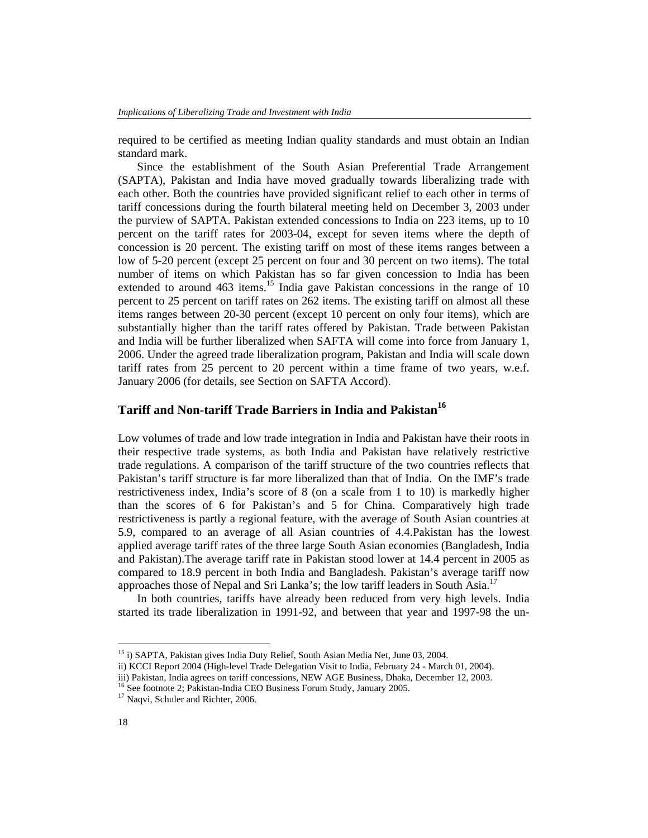required to be certified as meeting Indian quality standards and must obtain an Indian standard mark.

Since the establishment of the South Asian Preferential Trade Arrangement (SAPTA), Pakistan and India have moved gradually towards liberalizing trade with each other. Both the countries have provided significant relief to each other in terms of tariff concessions during the fourth bilateral meeting held on December 3, 2003 under the purview of SAPTA. Pakistan extended concessions to India on 223 items, up to 10 percent on the tariff rates for 2003-04, except for seven items where the depth of concession is 20 percent. The existing tariff on most of these items ranges between a low of 5-20 percent (except 25 percent on four and 30 percent on two items). The total number of items on which Pakistan has so far given concession to India has been extended to around  $463$  items.<sup>15</sup> India gave Pakistan concessions in the range of 10 percent to 25 percent on tariff rates on 262 items. The existing tariff on almost all these items ranges between 20-30 percent (except 10 percent on only four items), which are substantially higher than the tariff rates offered by Pakistan. Trade between Pakistan and India will be further liberalized when SAFTA will come into force from January 1, 2006. Under the agreed trade liberalization program, Pakistan and India will scale down tariff rates from 25 percent to 20 percent within a time frame of two years, w.e.f. January 2006 (for details, see Section on SAFTA Accord).

## **Tariff and Non-tariff Trade Barriers in India and Pakistan<sup>16</sup>**

Low volumes of trade and low trade integration in India and Pakistan have their roots in their respective trade systems, as both India and Pakistan have relatively restrictive trade regulations. A comparison of the tariff structure of the two countries reflects that Pakistan's tariff structure is far more liberalized than that of India. On the IMF's trade restrictiveness index, India's score of 8 (on a scale from 1 to 10) is markedly higher than the scores of 6 for Pakistan's and 5 for China. Comparatively high trade restrictiveness is partly a regional feature, with the average of South Asian countries at 5.9, compared to an average of all Asian countries of 4.4.Pakistan has the lowest applied average tariff rates of the three large South Asian economies (Bangladesh, India and Pakistan).The average tariff rate in Pakistan stood lower at 14.4 percent in 2005 as compared to 18.9 percent in both India and Bangladesh. Pakistan's average tariff now approaches those of Nepal and Sri Lanka's; the low tariff leaders in South Asia.<sup>17</sup>

In both countries, tariffs have already been reduced from very high levels. India started its trade liberalization in 1991-92, and between that year and 1997-98 the un-

<sup>&</sup>lt;sup>15</sup> i) SAPTA, Pakistan gives India Duty Relief, South Asian Media Net, June 03, 2004.

ii) KCCI Report 2004 (High-level Trade Delegation Visit to India, February 24 - March 01, 2004).

iii) Pakistan, India agrees on tariff concessions, NEW AGE Business, Dhaka, December 12, 2003.<br><sup>16</sup> See footnote 2; Pakistan-India CEO Business Forum Study, January 2005.<br><sup>17</sup> Naqvi, Schuler and Richter, 2006.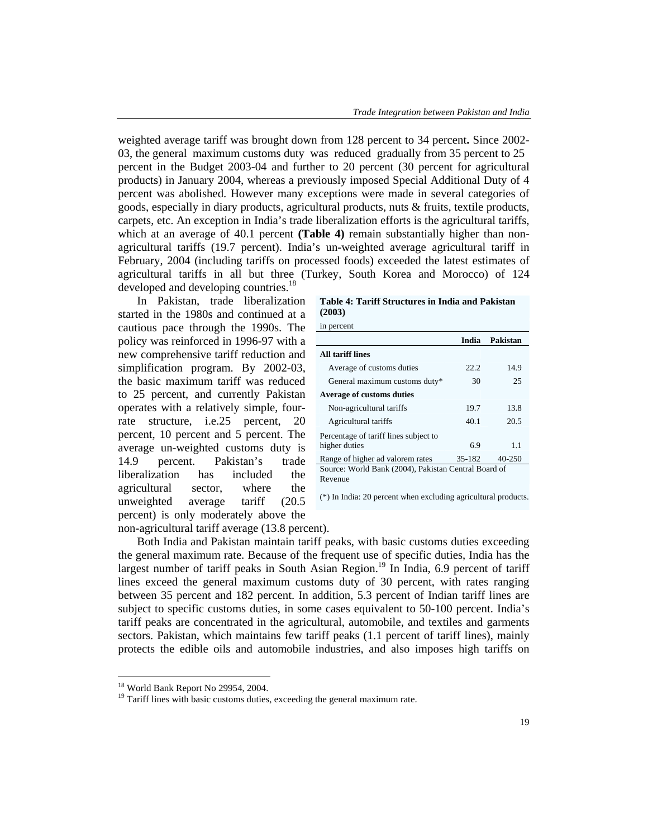weighted average tariff was brought down from 128 percent to 34 percent**.** Since 2002- 03, the general maximum customs duty was reduced gradually from 35 percent to 25 percent in the Budget 2003-04 and further to 20 percent (30 percent for agricultural products) in January 2004, whereas a previously imposed Special Additional Duty of 4 percent was abolished. However many exceptions were made in several categories of goods, especially in diary products, agricultural products, nuts & fruits, textile products, carpets, etc. An exception in India's trade liberalization efforts is the agricultural tariffs, which at an average of 40.1 percent **(Table 4)** remain substantially higher than nonagricultural tariffs (19.7 percent). India's un-weighted average agricultural tariff in February, 2004 (including tariffs on processed foods) exceeded the latest estimates of agricultural tariffs in all but three (Turkey, South Korea and Morocco) of 124 developed and developing countries.<sup>18</sup>

 In Pakistan, trade liberalization started in the 1980s and continued at a cautious pace through the 1990s. The policy was reinforced in 1996-97 with a new comprehensive tariff reduction and simplification program. By 2002-03, the basic maximum tariff was reduced to 25 percent, and currently Pakistan operates with a relatively simple, fourrate structure, i.e.25 percent, 20 percent, 10 percent and 5 percent. The average un-weighted customs duty is 14.9 percent. Pakistan's trade liberalization has included the agricultural sector, where the unweighted average tariff (20.5 percent) is only moderately above the non-agricultural tariff average (13.8 percent).

**Table 4: Tariff Structures in India and Pakistan (2003)**

in percent

|                                                      | India  | Pakistan   |  |  |  |  |  |
|------------------------------------------------------|--------|------------|--|--|--|--|--|
| <b>All tariff lines</b>                              |        |            |  |  |  |  |  |
| Average of customs duties                            | 22.2.  | 14.9       |  |  |  |  |  |
| General maximum customs duty*                        | 30     | 25         |  |  |  |  |  |
| <b>Average of customs duties</b>                     |        |            |  |  |  |  |  |
| Non-agricultural tariffs                             | 19.7   | 13.8       |  |  |  |  |  |
| Agricultural tariffs                                 | 40.1   | 20.5       |  |  |  |  |  |
| Percentage of tariff lines subject to                |        |            |  |  |  |  |  |
| higher duties                                        | 6.9    | 1.1        |  |  |  |  |  |
| Range of higher ad valorem rates                     | 35-182 | $40 - 250$ |  |  |  |  |  |
| Source: World Bank (2004), Pakistan Central Board of |        |            |  |  |  |  |  |
| Revenue                                              |        |            |  |  |  |  |  |

(\*) In India: 20 percent when excluding agricultural products.

 Both India and Pakistan maintain tariff peaks, with basic customs duties exceeding the general maximum rate. Because of the frequent use of specific duties, India has the largest number of tariff peaks in South Asian Region.<sup>19</sup> In India, 6.9 percent of tariff lines exceed the general maximum customs duty of 30 percent, with rates ranging between 35 percent and 182 percent. In addition, 5.3 percent of Indian tariff lines are subject to specific customs duties, in some cases equivalent to 50-100 percent. India's tariff peaks are concentrated in the agricultural, automobile, and textiles and garments sectors. Pakistan, which maintains few tariff peaks (1.1 percent of tariff lines), mainly protects the edible oils and automobile industries, and also imposes high tariffs on

<sup>&</sup>lt;sup>18</sup> World Bank Report No 29954, 2004.

<sup>&</sup>lt;sup>19</sup> Tariff lines with basic customs duties, exceeding the general maximum rate.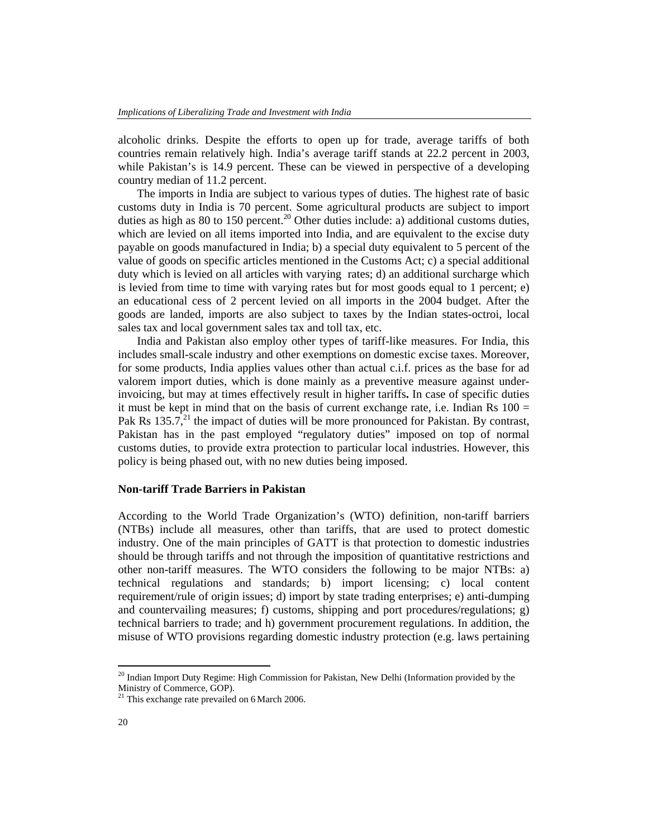alcoholic drinks. Despite the efforts to open up for trade, average tariffs of both countries remain relatively high. India's average tariff stands at 22.2 percent in 2003, while Pakistan's is 14.9 percent. These can be viewed in perspective of a developing country median of 11.2 percent.

 The imports in India are subject to various types of duties. The highest rate of basic customs duty in India is 70 percent. Some agricultural products are subject to import duties as high as 80 to 150 percent.<sup>20</sup> Other duties include: a) additional customs duties, which are levied on all items imported into India, and are equivalent to the excise duty payable on goods manufactured in India; b) a special duty equivalent to 5 percent of the value of goods on specific articles mentioned in the Customs Act; c) a special additional duty which is levied on all articles with varying rates; d) an additional surcharge which is levied from time to time with varying rates but for most goods equal to 1 percent; e) an educational cess of 2 percent levied on all imports in the 2004 budget. After the goods are landed, imports are also subject to taxes by the Indian states-octroi, local sales tax and local government sales tax and toll tax, etc.

 India and Pakistan also employ other types of tariff-like measures. For India, this includes small-scale industry and other exemptions on domestic excise taxes. Moreover, for some products, India applies values other than actual c.i.f. prices as the base for ad valorem import duties, which is done mainly as a preventive measure against underinvoicing, but may at times effectively result in higher tariffs**.** In case of specific duties it must be kept in mind that on the basis of current exchange rate, i.e. Indian Rs  $100 =$ Pak Rs  $135.7<sup>21</sup>$  the impact of duties will be more pronounced for Pakistan. By contrast, Pakistan has in the past employed "regulatory duties" imposed on top of normal customs duties, to provide extra protection to particular local industries. However, this policy is being phased out, with no new duties being imposed.

## **Non-tariff Trade Barriers in Pakistan**

According to the World Trade Organization's (WTO) definition, non-tariff barriers (NTBs) include all measures, other than tariffs, that are used to protect domestic industry. One of the main principles of GATT is that protection to domestic industries should be through tariffs and not through the imposition of quantitative restrictions and other non-tariff measures. The WTO considers the following to be major NTBs: a) technical regulations and standards; b) import licensing; c) local content requirement/rule of origin issues; d) import by state trading enterprises; e) anti-dumping and countervailing measures; f) customs, shipping and port procedures/regulations; g) technical barriers to trade; and h) government procurement regulations. In addition, the misuse of WTO provisions regarding domestic industry protection (e.g. laws pertaining

<sup>&</sup>lt;sup>20</sup> Indian Import Duty Regime: High Commission for Pakistan, New Delhi (Information provided by the Ministry of Commerce, GOP).

<sup>&</sup>lt;sup>21</sup> This exchange rate prevailed on 6 March 2006.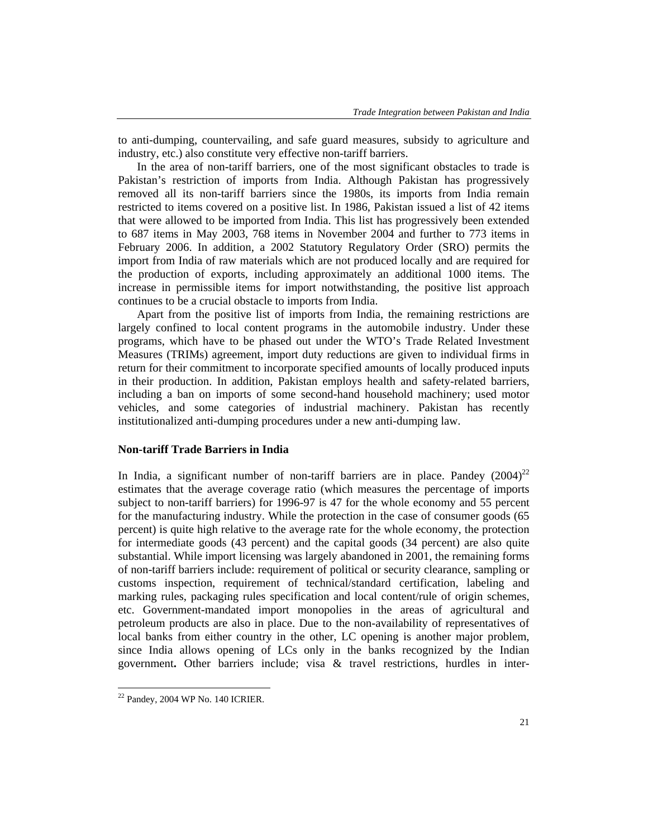to anti-dumping, countervailing, and safe guard measures, subsidy to agriculture and industry, etc.) also constitute very effective non-tariff barriers.

 In the area of non-tariff barriers, one of the most significant obstacles to trade is Pakistan's restriction of imports from India. Although Pakistan has progressively removed all its non-tariff barriers since the 1980s, its imports from India remain restricted to items covered on a positive list. In 1986, Pakistan issued a list of 42 items that were allowed to be imported from India. This list has progressively been extended to 687 items in May 2003, 768 items in November 2004 and further to 773 items in February 2006. In addition, a 2002 Statutory Regulatory Order (SRO) permits the import from India of raw materials which are not produced locally and are required for the production of exports, including approximately an additional 1000 items. The increase in permissible items for import notwithstanding, the positive list approach continues to be a crucial obstacle to imports from India.

 Apart from the positive list of imports from India, the remaining restrictions are largely confined to local content programs in the automobile industry. Under these programs, which have to be phased out under the WTO's Trade Related Investment Measures (TRIMs) agreement, import duty reductions are given to individual firms in return for their commitment to incorporate specified amounts of locally produced inputs in their production. In addition, Pakistan employs health and safety-related barriers, including a ban on imports of some second-hand household machinery; used motor vehicles, and some categories of industrial machinery. Pakistan has recently institutionalized anti-dumping procedures under a new anti-dumping law.

## **Non-tariff Trade Barriers in India**

In India, a significant number of non-tariff barriers are in place. Pandey  $(2004)^{22}$ estimates that the average coverage ratio (which measures the percentage of imports subject to non-tariff barriers) for 1996-97 is 47 for the whole economy and 55 percent for the manufacturing industry. While the protection in the case of consumer goods (65 percent) is quite high relative to the average rate for the whole economy, the protection for intermediate goods (43 percent) and the capital goods (34 percent) are also quite substantial. While import licensing was largely abandoned in 2001, the remaining forms of non-tariff barriers include: requirement of political or security clearance, sampling or customs inspection, requirement of technical/standard certification, labeling and marking rules, packaging rules specification and local content/rule of origin schemes, etc. Government-mandated import monopolies in the areas of agricultural and petroleum products are also in place. Due to the non-availability of representatives of local banks from either country in the other, LC opening is another major problem, since India allows opening of LCs only in the banks recognized by the Indian government**.** Other barriers include; visa & travel restrictions, hurdles in inter-

 $22$  Pandey, 2004 WP No. 140 ICRIER.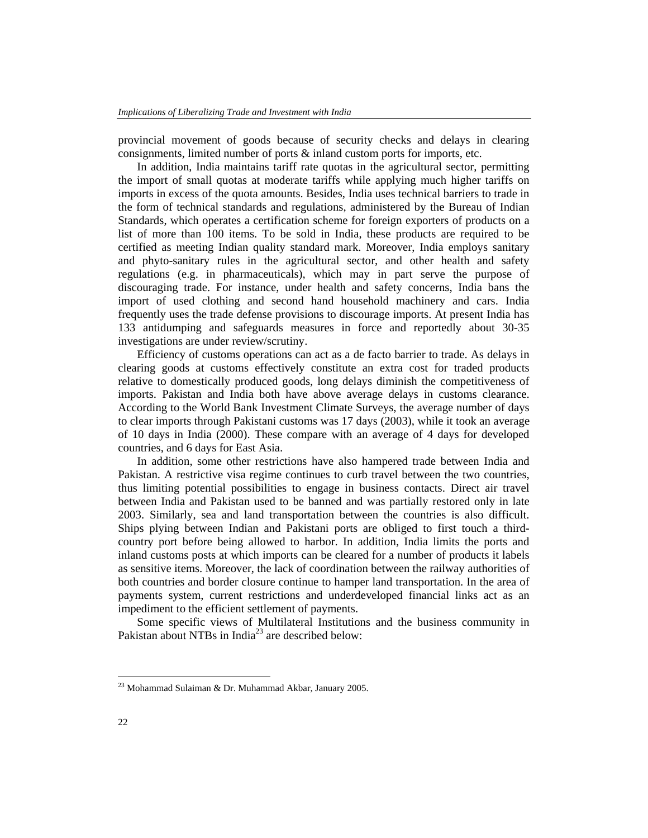provincial movement of goods because of security checks and delays in clearing consignments, limited number of ports & inland custom ports for imports, etc.

 In addition, India maintains tariff rate quotas in the agricultural sector, permitting the import of small quotas at moderate tariffs while applying much higher tariffs on imports in excess of the quota amounts. Besides, India uses technical barriers to trade in the form of technical standards and regulations, administered by the Bureau of Indian Standards, which operates a certification scheme for foreign exporters of products on a list of more than 100 items. To be sold in India, these products are required to be certified as meeting Indian quality standard mark. Moreover, India employs sanitary and phyto-sanitary rules in the agricultural sector, and other health and safety regulations (e.g. in pharmaceuticals), which may in part serve the purpose of discouraging trade. For instance, under health and safety concerns, India bans the import of used clothing and second hand household machinery and cars. India frequently uses the trade defense provisions to discourage imports. At present India has 133 antidumping and safeguards measures in force and reportedly about 30-35 investigations are under review/scrutiny.

 Efficiency of customs operations can act as a de facto barrier to trade. As delays in clearing goods at customs effectively constitute an extra cost for traded products relative to domestically produced goods, long delays diminish the competitiveness of imports. Pakistan and India both have above average delays in customs clearance. According to the World Bank Investment Climate Surveys, the average number of days to clear imports through Pakistani customs was 17 days (2003), while it took an average of 10 days in India (2000). These compare with an average of 4 days for developed countries, and 6 days for East Asia.

 In addition, some other restrictions have also hampered trade between India and Pakistan. A restrictive visa regime continues to curb travel between the two countries, thus limiting potential possibilities to engage in business contacts. Direct air travel between India and Pakistan used to be banned and was partially restored only in late 2003. Similarly, sea and land transportation between the countries is also difficult. Ships plying between Indian and Pakistani ports are obliged to first touch a thirdcountry port before being allowed to harbor. In addition, India limits the ports and inland customs posts at which imports can be cleared for a number of products it labels as sensitive items. Moreover, the lack of coordination between the railway authorities of both countries and border closure continue to hamper land transportation. In the area of payments system, current restrictions and underdeveloped financial links act as an impediment to the efficient settlement of payments.

 Some specific views of Multilateral Institutions and the business community in Pakistan about NTBs in India<sup>23</sup> are described below:

 $^{23}$  Mohammad Sulaiman & Dr. Muhammad Akbar, January 2005.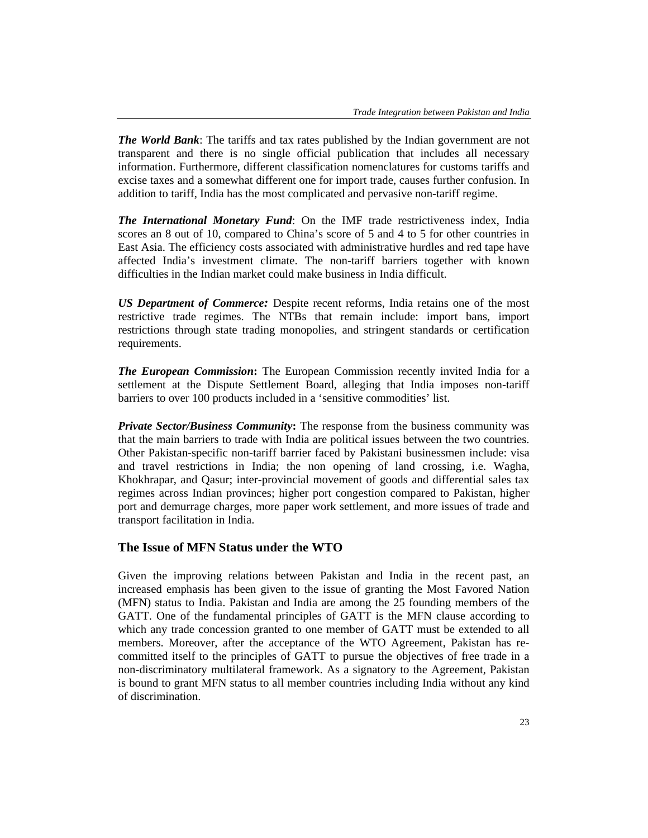*The World Bank*: The tariffs and tax rates published by the Indian government are not transparent and there is no single official publication that includes all necessary information. Furthermore, different classification nomenclatures for customs tariffs and excise taxes and a somewhat different one for import trade, causes further confusion. In addition to tariff, India has the most complicated and pervasive non-tariff regime.

*The International Monetary Fund*: On the IMF trade restrictiveness index, India scores an 8 out of 10, compared to China's score of 5 and 4 to 5 for other countries in East Asia. The efficiency costs associated with administrative hurdles and red tape have affected India's investment climate. The non-tariff barriers together with known difficulties in the Indian market could make business in India difficult.

*US Department of Commerce:* Despite recent reforms, India retains one of the most restrictive trade regimes. The NTBs that remain include: import bans, import restrictions through state trading monopolies, and stringent standards or certification requirements.

*The European Commission***:** The European Commission recently invited India for a settlement at the Dispute Settlement Board, alleging that India imposes non-tariff barriers to over 100 products included in a 'sensitive commodities' list.

*Private Sector/Business Community*: The response from the business community was that the main barriers to trade with India are political issues between the two countries. Other Pakistan-specific non-tariff barrier faced by Pakistani businessmen include: visa and travel restrictions in India; the non opening of land crossing, i.e. Wagha, Khokhrapar, and Qasur; inter-provincial movement of goods and differential sales tax regimes across Indian provinces; higher port congestion compared to Pakistan, higher port and demurrage charges, more paper work settlement, and more issues of trade and transport facilitation in India.

## **The Issue of MFN Status under the WTO**

Given the improving relations between Pakistan and India in the recent past, an increased emphasis has been given to the issue of granting the Most Favored Nation (MFN) status to India. Pakistan and India are among the 25 founding members of the GATT. One of the fundamental principles of GATT is the MFN clause according to which any trade concession granted to one member of GATT must be extended to all members. Moreover, after the acceptance of the WTO Agreement, Pakistan has recommitted itself to the principles of GATT to pursue the objectives of free trade in a non-discriminatory multilateral framework. As a signatory to the Agreement, Pakistan is bound to grant MFN status to all member countries including India without any kind of discrimination.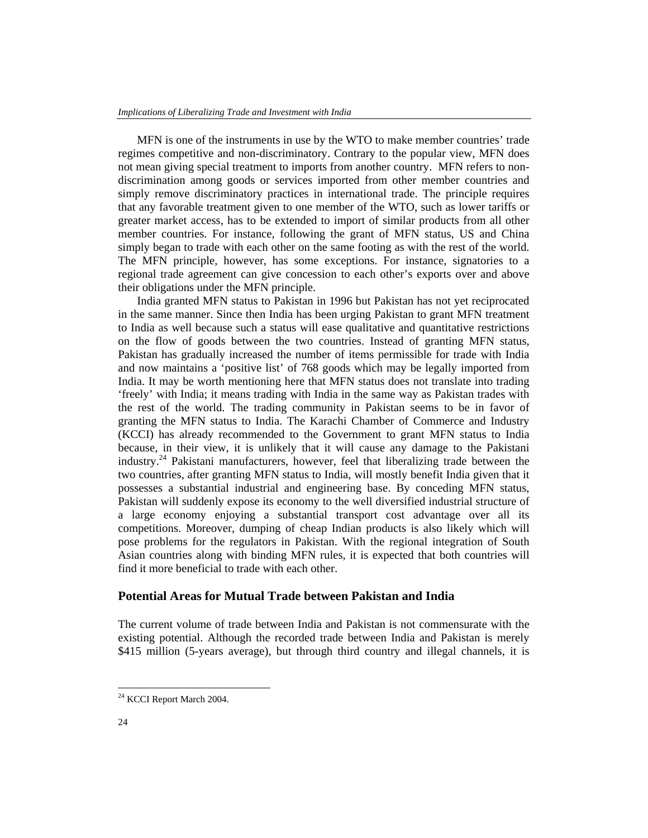MFN is one of the instruments in use by the WTO to make member countries' trade regimes competitive and non-discriminatory. Contrary to the popular view, MFN does not mean giving special treatment to imports from another country. MFN refers to nondiscrimination among goods or services imported from other member countries and simply remove discriminatory practices in international trade. The principle requires that any favorable treatment given to one member of the WTO, such as lower tariffs or greater market access, has to be extended to import of similar products from all other member countries. For instance, following the grant of MFN status, US and China simply began to trade with each other on the same footing as with the rest of the world. The MFN principle, however, has some exceptions. For instance, signatories to a regional trade agreement can give concession to each other's exports over and above their obligations under the MFN principle.

 India granted MFN status to Pakistan in 1996 but Pakistan has not yet reciprocated in the same manner. Since then India has been urging Pakistan to grant MFN treatment to India as well because such a status will ease qualitative and quantitative restrictions on the flow of goods between the two countries. Instead of granting MFN status, Pakistan has gradually increased the number of items permissible for trade with India and now maintains a 'positive list' of 768 goods which may be legally imported from India. It may be worth mentioning here that MFN status does not translate into trading 'freely' with India; it means trading with India in the same way as Pakistan trades with the rest of the world. The trading community in Pakistan seems to be in favor of granting the MFN status to India. The Karachi Chamber of Commerce and Industry (KCCI) has already recommended to the Government to grant MFN status to India because, in their view, it is unlikely that it will cause any damage to the Pakistani industry.<sup>24</sup> Pakistani manufacturers, however, feel that liberalizing trade between the two countries, after granting MFN status to India, will mostly benefit India given that it possesses a substantial industrial and engineering base. By conceding MFN status, Pakistan will suddenly expose its economy to the well diversified industrial structure of a large economy enjoying a substantial transport cost advantage over all its competitions. Moreover, dumping of cheap Indian products is also likely which will pose problems for the regulators in Pakistan. With the regional integration of South Asian countries along with binding MFN rules, it is expected that both countries will find it more beneficial to trade with each other.

## **Potential Areas for Mutual Trade between Pakistan and India**

The current volume of trade between India and Pakistan is not commensurate with the existing potential. Although the recorded trade between India and Pakistan is merely \$415 million (5-years average), but through third country and illegal channels, it is

<sup>&</sup>lt;sup>24</sup> KCCI Report March 2004.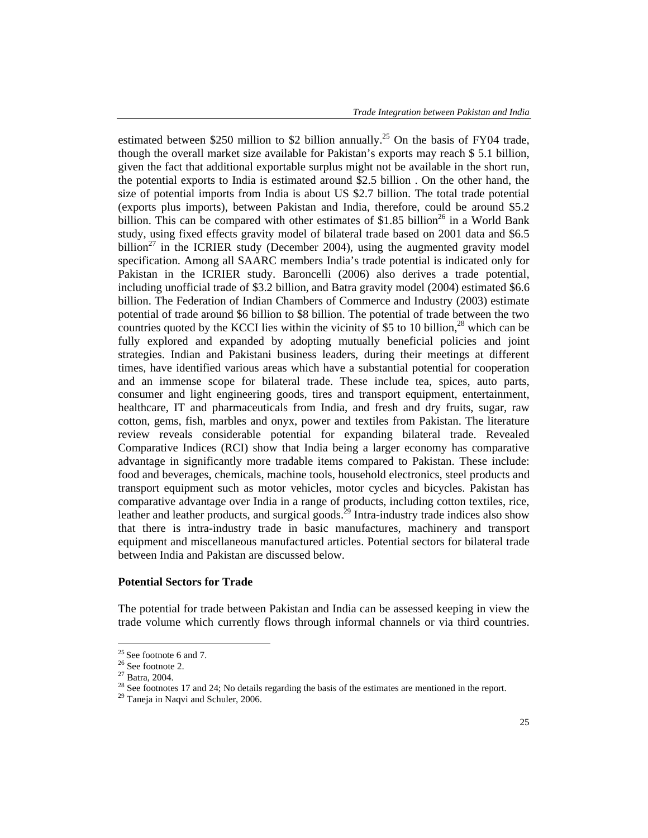estimated between \$250 million to \$2 billion annually.<sup>25</sup> On the basis of FY04 trade, though the overall market size available for Pakistan's exports may reach \$ 5.1 billion, given the fact that additional exportable surplus might not be available in the short run, the potential exports to India is estimated around \$2.5 billion . On the other hand, the size of potential imports from India is about US \$2.7 billion. The total trade potential (exports plus imports), between Pakistan and India, therefore, could be around \$5.2 billion. This can be compared with other estimates of \$1.85 billion<sup>26</sup> in a World Bank study, using fixed effects gravity model of bilateral trade based on 2001 data and \$6.5 billion<sup>27</sup> in the ICRIER study (December 2004), using the augmented gravity model specification. Among all SAARC members India's trade potential is indicated only for Pakistan in the ICRIER study. Baroncelli (2006) also derives a trade potential, including unofficial trade of \$3.2 billion, and Batra gravity model (2004) estimated \$6.6 billion. The Federation of Indian Chambers of Commerce and Industry (2003) estimate potential of trade around \$6 billion to \$8 billion. The potential of trade between the two countries quoted by the KCCI lies within the vicinity of \$5 to 10 billion,<sup>28</sup> which can be fully explored and expanded by adopting mutually beneficial policies and joint strategies. Indian and Pakistani business leaders, during their meetings at different times, have identified various areas which have a substantial potential for cooperation and an immense scope for bilateral trade. These include tea, spices, auto parts, consumer and light engineering goods, tires and transport equipment, entertainment, healthcare, IT and pharmaceuticals from India, and fresh and dry fruits, sugar, raw cotton, gems, fish, marbles and onyx, power and textiles from Pakistan. The literature review reveals considerable potential for expanding bilateral trade. Revealed Comparative Indices (RCI) show that India being a larger economy has comparative advantage in significantly more tradable items compared to Pakistan. These include: food and beverages, chemicals, machine tools, household electronics, steel products and transport equipment such as motor vehicles, motor cycles and bicycles. Pakistan has comparative advantage over India in a range of products, including cotton textiles, rice, leather and leather products, and surgical goods.<sup>29</sup> Intra-industry trade indices also show that there is intra-industry trade in basic manufactures, machinery and transport equipment and miscellaneous manufactured articles. Potential sectors for bilateral trade between India and Pakistan are discussed below.

## **Potential Sectors for Trade**

The potential for trade between Pakistan and India can be assessed keeping in view the trade volume which currently flows through informal channels or via third countries.

<sup>&</sup>lt;sup>25</sup> See footnote 6 and 7.<br><sup>26</sup> See footnote 2.

<sup>27</sup> Batra, 2004.

<sup>&</sup>lt;sup>28</sup> See footnotes 17 and 24; No details regarding the basis of the estimates are mentioned in the report.<br><sup>29</sup> Taneja in Naqvi and Schuler, 2006.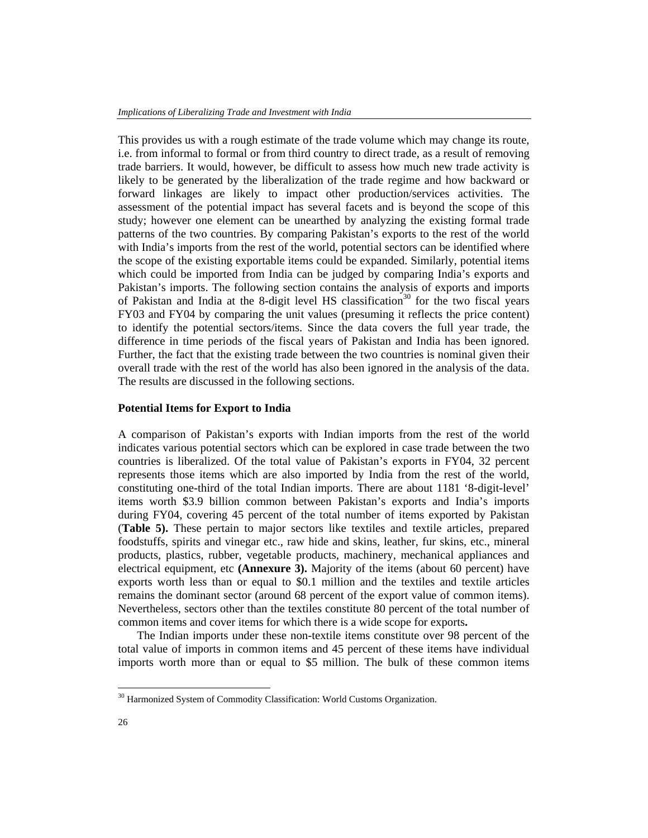This provides us with a rough estimate of the trade volume which may change its route, i.e. from informal to formal or from third country to direct trade, as a result of removing trade barriers. It would, however, be difficult to assess how much new trade activity is likely to be generated by the liberalization of the trade regime and how backward or forward linkages are likely to impact other production/services activities. The assessment of the potential impact has several facets and is beyond the scope of this study; however one element can be unearthed by analyzing the existing formal trade patterns of the two countries. By comparing Pakistan's exports to the rest of the world with India's imports from the rest of the world, potential sectors can be identified where the scope of the existing exportable items could be expanded. Similarly, potential items which could be imported from India can be judged by comparing India's exports and Pakistan's imports. The following section contains the analysis of exports and imports of Pakistan and India at the 8-digit level HS classification<sup>30</sup> for the two fiscal years FY03 and FY04 by comparing the unit values (presuming it reflects the price content) to identify the potential sectors/items. Since the data covers the full year trade, the difference in time periods of the fiscal years of Pakistan and India has been ignored. Further, the fact that the existing trade between the two countries is nominal given their overall trade with the rest of the world has also been ignored in the analysis of the data. The results are discussed in the following sections.

### **Potential Items for Export to India**

A comparison of Pakistan's exports with Indian imports from the rest of the world indicates various potential sectors which can be explored in case trade between the two countries is liberalized. Of the total value of Pakistan's exports in FY04, 32 percent represents those items which are also imported by India from the rest of the world, constituting one-third of the total Indian imports. There are about 1181 '8-digit-level' items worth \$3.9 billion common between Pakistan's exports and India's imports during FY04, covering 45 percent of the total number of items exported by Pakistan (**Table 5).** These pertain to major sectors like textiles and textile articles, prepared foodstuffs, spirits and vinegar etc., raw hide and skins, leather, fur skins, etc., mineral products, plastics, rubber, vegetable products, machinery, mechanical appliances and electrical equipment, etc **(Annexure 3).** Majority of the items (about 60 percent) have exports worth less than or equal to \$0.1 million and the textiles and textile articles remains the dominant sector (around 68 percent of the export value of common items). Nevertheless, sectors other than the textiles constitute 80 percent of the total number of common items and cover items for which there is a wide scope for exports**.** 

 The Indian imports under these non-textile items constitute over 98 percent of the total value of imports in common items and 45 percent of these items have individual imports worth more than or equal to \$5 million. The bulk of these common items

<sup>&</sup>lt;sup>30</sup> Harmonized System of Commodity Classification: World Customs Organization.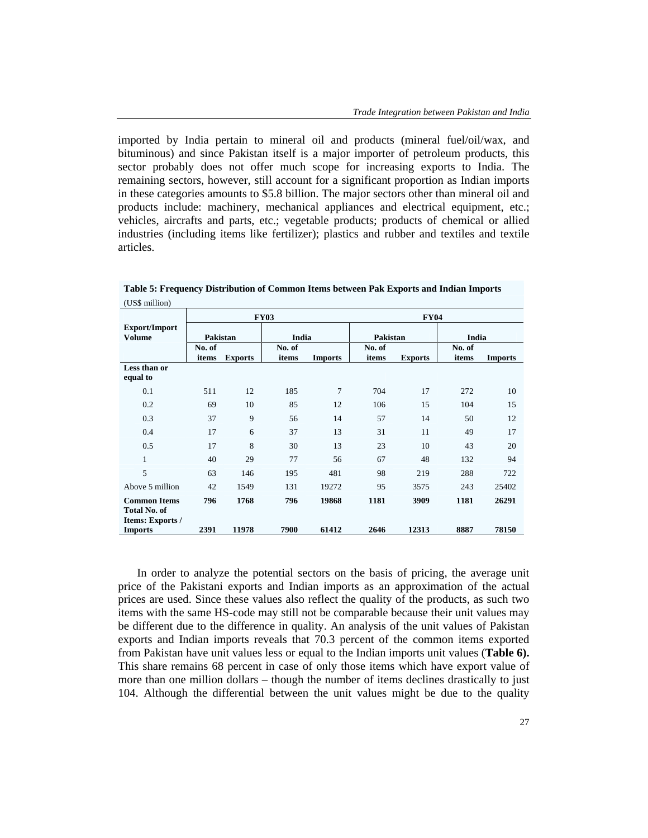imported by India pertain to mineral oil and products (mineral fuel/oil/wax, and bituminous) and since Pakistan itself is a major importer of petroleum products, this sector probably does not offer much scope for increasing exports to India. The remaining sectors, however, still account for a significant proportion as Indian imports in these categories amounts to \$5.8 billion. The major sectors other than mineral oil and products include: machinery, mechanical appliances and electrical equipment, etc.; vehicles, aircrafts and parts, etc.; vegetable products; products of chemical or allied industries (including items like fertilizer); plastics and rubber and textiles and textile articles.

|                                                                       |                 |                | <b>FY03</b>     |                | <b>FY04</b>     |                |                 |                |
|-----------------------------------------------------------------------|-----------------|----------------|-----------------|----------------|-----------------|----------------|-----------------|----------------|
| <b>Export/Import</b><br><b>Volume</b>                                 | Pakistan        |                | India           |                | <b>Pakistan</b> |                | India           |                |
|                                                                       | No. of<br>items | <b>Exports</b> | No. of<br>items | <b>Imports</b> | No. of<br>items | <b>Exports</b> | No. of<br>items | <b>Imports</b> |
| Less than or<br>equal to                                              |                 |                |                 |                |                 |                |                 |                |
| 0.1                                                                   | 511             | 12             | 185             | 7              | 704             | 17             | 272             | 10             |
| 0.2                                                                   | 69              | 10             | 85              | 12             | 106             | 15             | 104             | 15             |
| 0.3                                                                   | 37              | 9              | 56              | 14             | 57              | 14             | 50              | 12             |
| 0.4                                                                   | 17              | 6              | 37              | 13             | 31              | 11             | 49              | 17             |
| 0.5                                                                   | 17              | 8              | 30              | 13             | 23              | 10             | 43              | 20             |
| $\mathbf{1}$                                                          | 40              | 29             | 77              | 56             | 67              | 48             | 132             | 94             |
| 5                                                                     | 63              | 146            | 195             | 481            | 98              | 219            | 288             | 722            |
| Above 5 million                                                       | 42              | 1549           | 131             | 19272          | 95              | 3575           | 243             | 25402          |
| <b>Common Items</b><br><b>Total No. of</b><br><b>Items: Exports /</b> | 796             | 1768           | 796             | 19868          | 1181            | 3909           | 1181            | 26291          |
| <b>Imports</b>                                                        | 2391            | 11978          | 7900            | 61412          | 2646            | 12313          | 8887            | 78150          |

**Table 5: Frequency Distribution of Common Items between Pak Exports and Indian Imports**  (US\$ million)

 In order to analyze the potential sectors on the basis of pricing, the average unit price of the Pakistani exports and Indian imports as an approximation of the actual prices are used. Since these values also reflect the quality of the products, as such two items with the same HS-code may still not be comparable because their unit values may be different due to the difference in quality. An analysis of the unit values of Pakistan exports and Indian imports reveals that 70.3 percent of the common items exported from Pakistan have unit values less or equal to the Indian imports unit values (**Table 6).** This share remains 68 percent in case of only those items which have export value of more than one million dollars – though the number of items declines drastically to just 104. Although the differential between the unit values might be due to the quality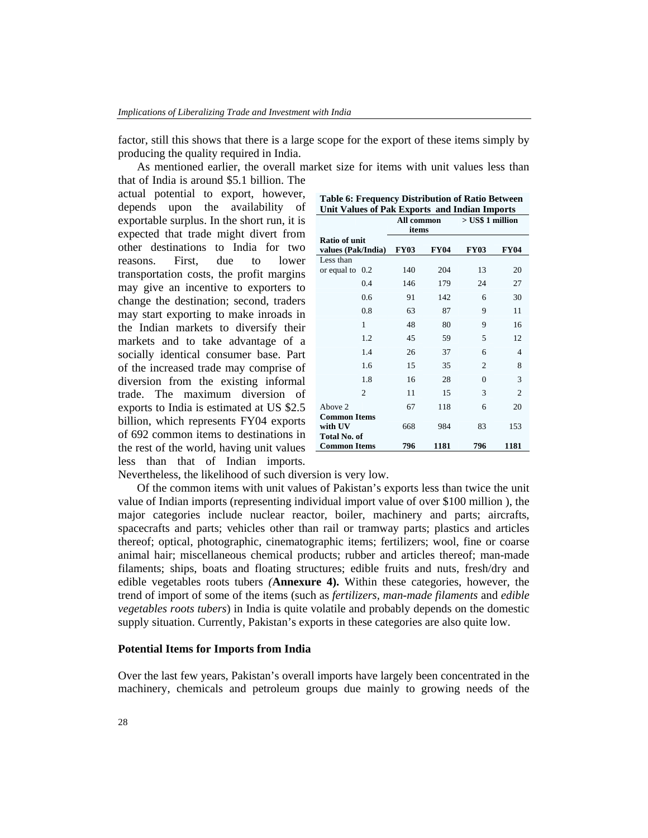factor, still this shows that there is a large scope for the export of these items simply by producing the quality required in India.

As mentioned earlier, the overall market size for items with unit values less than that of India is around \$5.1 billion. The

actual potential to export, however, depends upon the availability of exportable surplus. In the short run, it is expected that trade might divert from other destinations to India for two reasons. First, due to lower transportation costs, the profit margins may give an incentive to exporters to change the destination; second, traders may start exporting to make inroads in the Indian markets to diversify their markets and to take advantage of a socially identical consumer base. Part of the increased trade may comprise of diversion from the existing informal trade. The maximum diversion of exports to India is estimated at US \$2.5 billion, which represents FY04 exports of 692 common items to destinations in the rest of the world, having unit values less than that of Indian imports.

| Unit Values of Pak Exports and Indian Imports |                |             |             |                    |                |  |  |  |
|-----------------------------------------------|----------------|-------------|-------------|--------------------|----------------|--|--|--|
|                                               |                | All common  |             | $>$ US\$ 1 million |                |  |  |  |
|                                               |                | items       |             |                    |                |  |  |  |
| <b>Ratio of unit</b>                          |                |             |             |                    |                |  |  |  |
| values (Pak/India)                            |                | <b>FY03</b> | <b>FY04</b> | <b>FY03</b>        | <b>FY04</b>    |  |  |  |
| Less than                                     |                |             |             |                    |                |  |  |  |
| or equal to $0.2$                             |                | 140         | 204         | 13                 | 20             |  |  |  |
|                                               | 0.4            | 146         | 179         | 24                 | 27             |  |  |  |
|                                               | 0.6            | 91          | 142         | 6                  | 30             |  |  |  |
|                                               | 0.8            | 63          | 87          | 9                  | 11             |  |  |  |
|                                               | 1              | 48          | 80          | 9                  | 16             |  |  |  |
|                                               | 1.2            | 45          | 59          | 5                  | 12             |  |  |  |
|                                               | 1.4            | 26          | 37          | 6                  | 4              |  |  |  |
|                                               | 1.6            | 15          | 35          | $\overline{c}$     | 8              |  |  |  |
|                                               | 1.8            | 16          | 28          | $\Omega$           | 3              |  |  |  |
|                                               | $\overline{c}$ | 11          | 15          | 3                  | $\overline{2}$ |  |  |  |
| Above 2                                       |                | 67          | 118         | 6                  | 20             |  |  |  |
| <b>Common Items</b>                           |                |             |             |                    |                |  |  |  |
| with UV                                       |                | 668         | 984         | 83                 | 153            |  |  |  |
| <b>Total No. of</b>                           |                |             |             |                    |                |  |  |  |
| <b>Common Items</b>                           |                | 796         | 1181        | 796                | 1181           |  |  |  |

**Table 6: Frequency Distribution of Ratio Between** 

Nevertheless, the likelihood of such diversion is very low.

Of the common items with unit values of Pakistan's exports less than twice the unit value of Indian imports (representing individual import value of over \$100 million ), the major categories include nuclear reactor, boiler, machinery and parts; aircrafts, spacecrafts and parts; vehicles other than rail or tramway parts; plastics and articles thereof; optical, photographic, cinematographic items; fertilizers; wool, fine or coarse animal hair; miscellaneous chemical products; rubber and articles thereof; man-made filaments; ships, boats and floating structures; edible fruits and nuts, fresh/dry and edible vegetables roots tubers *(***Annexure 4).** Within these categories, however, the trend of import of some of the items (such as *fertilizers, man-made filaments* and *edible vegetables roots tubers*) in India is quite volatile and probably depends on the domestic supply situation. Currently, Pakistan's exports in these categories are also quite low.

## **Potential Items for Imports from India**

Over the last few years, Pakistan's overall imports have largely been concentrated in the machinery, chemicals and petroleum groups due mainly to growing needs of the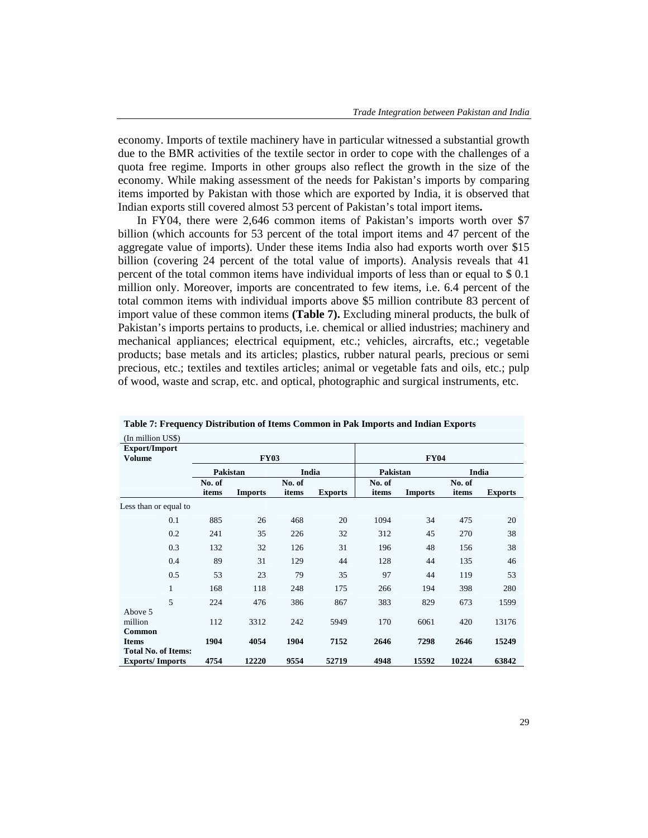economy. Imports of textile machinery have in particular witnessed a substantial growth due to the BMR activities of the textile sector in order to cope with the challenges of a quota free regime. Imports in other groups also reflect the growth in the size of the economy. While making assessment of the needs for Pakistan's imports by comparing items imported by Pakistan with those which are exported by India, it is observed that Indian exports still covered almost 53 percent of Pakistan's total import items**.** 

 In FY04, there were 2,646 common items of Pakistan's imports worth over \$7 billion (which accounts for 53 percent of the total import items and 47 percent of the aggregate value of imports). Under these items India also had exports worth over \$15 billion (covering 24 percent of the total value of imports). Analysis reveals that 41 percent of the total common items have individual imports of less than or equal to \$ 0.1 million only. Moreover, imports are concentrated to few items, i.e. 6.4 percent of the total common items with individual imports above \$5 million contribute 83 percent of import value of these common items **(Table 7).** Excluding mineral products, the bulk of Pakistan's imports pertains to products, i.e. chemical or allied industries; machinery and mechanical appliances; electrical equipment, etc.; vehicles, aircrafts, etc.; vegetable products; base metals and its articles; plastics, rubber natural pearls, precious or semi precious, etc.; textiles and textiles articles; animal or vegetable fats and oils, etc.; pulp of wood, waste and scrap, etc. and optical, photographic and surgical instruments, etc.

| (In million US\$)          |        |                 |        |                |                 |                |        |                |  |
|----------------------------|--------|-----------------|--------|----------------|-----------------|----------------|--------|----------------|--|
| <b>Export/Import</b>       |        |                 |        |                |                 |                |        |                |  |
| <b>Volume</b>              |        | <b>FY03</b>     |        | <b>FY04</b>    |                 |                |        |                |  |
|                            |        | <b>Pakistan</b> |        | India          | <b>Pakistan</b> |                |        | India          |  |
|                            | No. of |                 | No. of |                | No. of          |                | No. of |                |  |
|                            | items  | <b>Imports</b>  | items  | <b>Exports</b> | items           | <b>Imports</b> | items  | <b>Exports</b> |  |
| Less than or equal to      |        |                 |        |                |                 |                |        |                |  |
| 0.1                        | 885    | 26              | 468    | 20             | 1094            | 34             | 475    | 20             |  |
| 0.2                        | 241    | 35              | 226    | 32             | 312             | 45             | 270    | 38             |  |
| 0.3                        | 132    | 32              | 126    | 31             | 196             | 48             | 156    | 38             |  |
| 0.4                        | 89     | 31              | 129    | 44             | 128             | 44             | 135    | 46             |  |
| 0.5                        | 53     | 23              | 79     | 35             | 97              | 44             | 119    | 53             |  |
| 1                          | 168    | 118             | 248    | 175            | 266             | 194            | 398    | 280            |  |
| 5                          | 224    | 476             | 386    | 867            | 383             | 829            | 673    | 1599           |  |
| Above 5                    |        |                 |        |                |                 |                |        |                |  |
| million                    | 112    | 3312            | 242    | 5949           | 170             | 6061           | 420    | 13176          |  |
| <b>Common</b>              |        |                 |        |                |                 |                |        |                |  |
| <b>Items</b>               | 1904   | 4054            | 1904   | 7152           | 2646            | 7298           | 2646   | 15249          |  |
| <b>Total No. of Items:</b> |        |                 |        |                |                 |                |        |                |  |
| <b>Exports/Imports</b>     | 4754   | 12220           | 9554   | 52719          | 4948            | 15592          | 10224  | 63842          |  |

**Table 7: Frequency Distribution of Items Common in Pak Imports and Indian Exports**